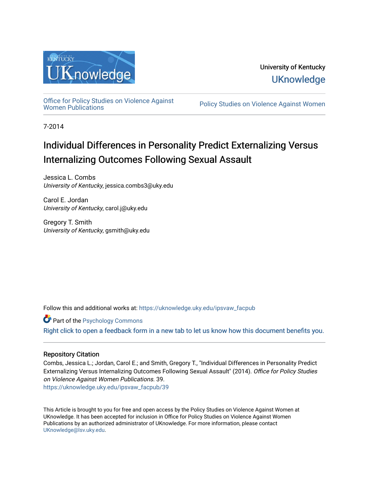

University of Kentucky **UKnowledge** 

[Office for Policy Studies on Violence Against](https://uknowledge.uky.edu/ipsvaw_facpub)

Policy Studies on Violence Against Women

7-2014

# Individual Differences in Personality Predict Externalizing Versus Internalizing Outcomes Following Sexual Assault

Jessica L. Combs University of Kentucky, jessica.combs3@uky.edu

Carol E. Jordan University of Kentucky, carol.j@uky.edu

Gregory T. Smith University of Kentucky, gsmith@uky.edu

Follow this and additional works at: [https://uknowledge.uky.edu/ipsvaw\\_facpub](https://uknowledge.uky.edu/ipsvaw_facpub?utm_source=uknowledge.uky.edu%2Fipsvaw_facpub%2F39&utm_medium=PDF&utm_campaign=PDFCoverPages) 

**Part of the Psychology Commons** [Right click to open a feedback form in a new tab to let us know how this document benefits you.](https://uky.az1.qualtrics.com/jfe/form/SV_9mq8fx2GnONRfz7)

# Repository Citation

Combs, Jessica L.; Jordan, Carol E.; and Smith, Gregory T., "Individual Differences in Personality Predict Externalizing Versus Internalizing Outcomes Following Sexual Assault" (2014). Office for Policy Studies on Violence Against Women Publications. 39. [https://uknowledge.uky.edu/ipsvaw\\_facpub/39](https://uknowledge.uky.edu/ipsvaw_facpub/39?utm_source=uknowledge.uky.edu%2Fipsvaw_facpub%2F39&utm_medium=PDF&utm_campaign=PDFCoverPages)

This Article is brought to you for free and open access by the Policy Studies on Violence Against Women at UKnowledge. It has been accepted for inclusion in Office for Policy Studies on Violence Against Women Publications by an authorized administrator of UKnowledge. For more information, please contact [UKnowledge@lsv.uky.edu.](mailto:UKnowledge@lsv.uky.edu)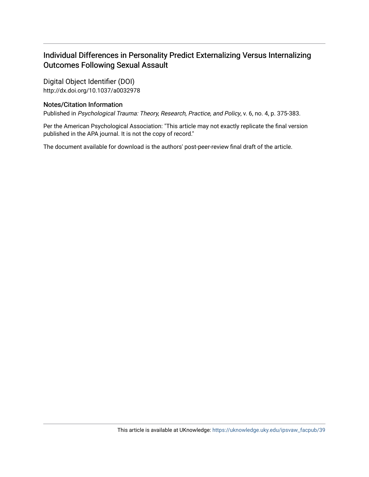# Individual Differences in Personality Predict Externalizing Versus Internalizing Outcomes Following Sexual Assault

Digital Object Identifier (DOI) http://dx.doi.org/10.1037/a0032978

# Notes/Citation Information

Published in Psychological Trauma: Theory, Research, Practice, and Policy, v. 6, no. 4, p. 375-383.

Per the American Psychological Association: "This article may not exactly replicate the final version published in the APA journal. It is not the copy of record."

The document available for download is the authors' post-peer-review final draft of the article.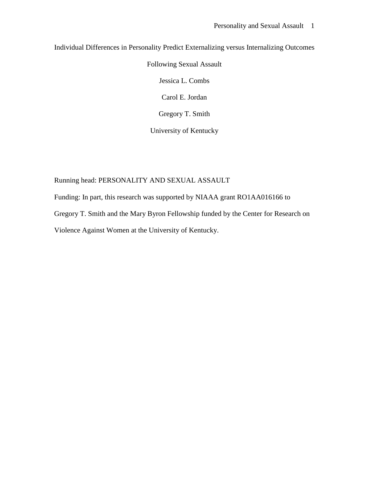Individual Differences in Personality Predict Externalizing versus Internalizing Outcomes

Following Sexual Assault

Jessica L. Combs

Carol E. Jordan

Gregory T. Smith

University of Kentucky

Running head: PERSONALITY AND SEXUAL ASSAULT

Funding: In part, this research was supported by NIAAA grant RO1AA016166 to Gregory T. Smith and the Mary Byron Fellowship funded by the Center for Research on Violence Against Women at the University of Kentucky.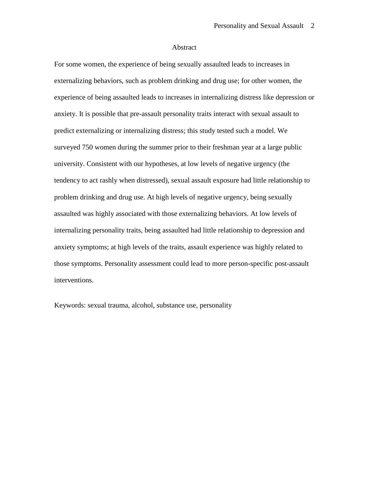#### Abstract

For some women, the experience of being sexually assaulted leads to increases in externalizing behaviors, such as problem drinking and drug use; for other women, the experience of being assaulted leads to increases in internalizing distress like depression or anxiety. It is possible that pre-assault personality traits interact with sexual assault to predict externalizing or internalizing distress; this study tested such a model. We surveyed 750 women during the summer prior to their freshman year at a large public university. Consistent with our hypotheses, at low levels of negative urgency (the tendency to act rashly when distressed), sexual assault exposure had little relationship to problem drinking and drug use. At high levels of negative urgency, being sexually assaulted was highly associated with those externalizing behaviors. At low levels of internalizing personality traits, being assaulted had little relationship to depression and anxiety symptoms; at high levels of the traits, assault experience was highly related to those symptoms. Personality assessment could lead to more person-specific post-assault interventions.

Keywords: sexual trauma, alcohol, substance use, personality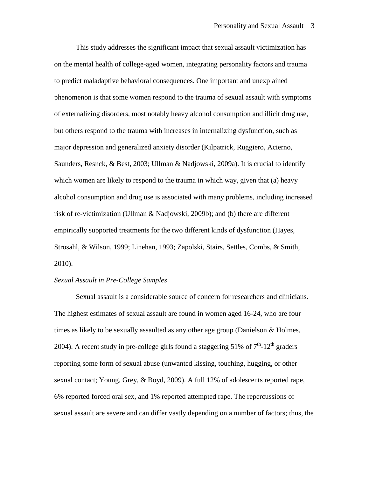This study addresses the significant impact that sexual assault victimization has on the mental health of college-aged women, integrating personality factors and trauma to predict maladaptive behavioral consequences. One important and unexplained phenomenon is that some women respond to the trauma of sexual assault with symptoms of externalizing disorders, most notably heavy alcohol consumption and illicit drug use, but others respond to the trauma with increases in internalizing dysfunction, such as major depression and generalized anxiety disorder (Kilpatrick, Ruggiero, Acierno, Saunders, Resnck, & Best, 2003; Ullman & Nadjowski, 2009a). It is crucial to identify which women are likely to respond to the trauma in which way, given that (a) heavy alcohol consumption and drug use is associated with many problems, including increased risk of re-victimization (Ullman & Nadjowski, 2009b); and (b) there are different empirically supported treatments for the two different kinds of dysfunction (Hayes, Strosahl, & Wilson, 1999; Linehan, 1993; Zapolski, Stairs, Settles, Combs, & Smith, 2010).

#### *Sexual Assault in Pre-College Samples*

Sexual assault is a considerable source of concern for researchers and clinicians. The highest estimates of sexual assault are found in women aged 16-24, who are four times as likely to be sexually assaulted as any other age group (Danielson & Holmes, 2004). A recent study in pre-college girls found a staggering 51% of  $7<sup>th</sup>$ -12<sup>th</sup> graders reporting some form of sexual abuse (unwanted kissing, touching, hugging, or other sexual contact; Young, Grey, & Boyd, 2009). A full 12% of adolescents reported rape, 6% reported forced oral sex, and 1% reported attempted rape. The repercussions of sexual assault are severe and can differ vastly depending on a number of factors; thus, the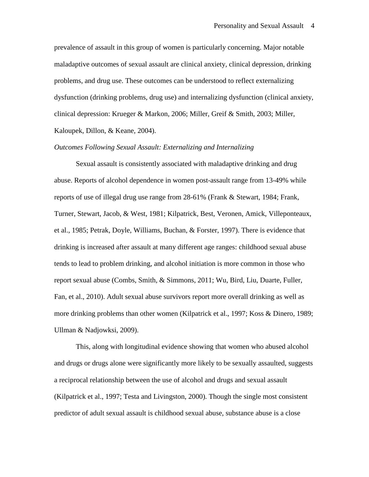prevalence of assault in this group of women is particularly concerning. Major notable maladaptive outcomes of sexual assault are clinical anxiety, clinical depression, drinking problems, and drug use. These outcomes can be understood to reflect externalizing dysfunction (drinking problems, drug use) and internalizing dysfunction (clinical anxiety, clinical depression: Krueger & Markon, 2006; Miller, Greif & Smith, 2003; Miller, Kaloupek, Dillon, & Keane, 2004).

#### *Outcomes Following Sexual Assault: Externalizing and Internalizing*

Sexual assault is consistently associated with maladaptive drinking and drug abuse. Reports of alcohol dependence in women post-assault range from 13-49% while reports of use of illegal drug use range from 28-61% (Frank & Stewart, 1984; Frank, Turner, Stewart, Jacob, & West, 1981; Kilpatrick, Best, Veronen, Amick, Villeponteaux, et al., 1985; Petrak, Doyle, Williams, Buchan, & Forster, 1997). There is evidence that drinking is increased after assault at many different age ranges: childhood sexual abuse tends to lead to problem drinking, and alcohol initiation is more common in those who report sexual abuse (Combs, Smith, & Simmons, 2011; Wu, Bird, Liu, Duarte, Fuller, Fan, et al., 2010). Adult sexual abuse survivors report more overall drinking as well as more drinking problems than other women (Kilpatrick et al., 1997; Koss & Dinero, 1989; Ullman & Nadjowksi, 2009).

This, along with longitudinal evidence showing that women who abused alcohol and drugs or drugs alone were significantly more likely to be sexually assaulted, suggests a reciprocal relationship between the use of alcohol and drugs and sexual assault (Kilpatrick et al., 1997; Testa and Livingston, 2000). Though the single most consistent predictor of adult sexual assault is childhood sexual abuse, substance abuse is a close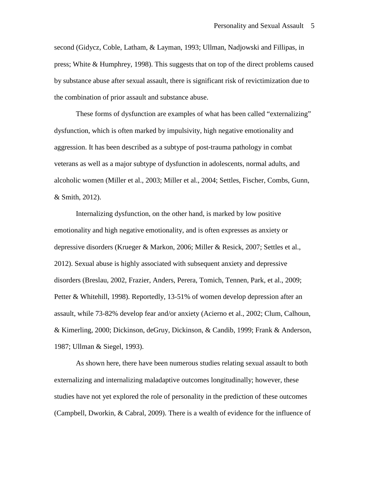second (Gidycz, Coble, Latham, & Layman, 1993; Ullman, Nadjowski and Fillipas, in press; White & Humphrey, 1998). This suggests that on top of the direct problems caused by substance abuse after sexual assault, there is significant risk of revictimization due to the combination of prior assault and substance abuse.

These forms of dysfunction are examples of what has been called "externalizing" dysfunction, which is often marked by impulsivity, high negative emotionality and aggression. It has been described as a subtype of post-trauma pathology in combat veterans as well as a major subtype of dysfunction in adolescents, normal adults, and alcoholic women (Miller et al., 2003; Miller et al., 2004; Settles, Fischer, Combs, Gunn, & Smith, 2012).

Internalizing dysfunction, on the other hand, is marked by low positive emotionality and high negative emotionality, and is often expresses as anxiety or depressive disorders (Krueger & Markon, 2006; Miller & Resick, 2007; Settles et al., 2012). Sexual abuse is highly associated with subsequent anxiety and depressive disorders (Breslau, 2002, Frazier, Anders, Perera, Tomich, Tennen, Park, et al., 2009; Petter & Whitehill, 1998). Reportedly, 13-51% of women develop depression after an assault, while 73-82% develop fear and/or anxiety (Acierno et al., 2002; Clum, Calhoun, & Kimerling, 2000; Dickinson, deGruy, Dickinson, & Candib, 1999; Frank & Anderson, 1987; Ullman & Siegel, 1993).

As shown here, there have been numerous studies relating sexual assault to both externalizing and internalizing maladaptive outcomes longitudinally; however, these studies have not yet explored the role of personality in the prediction of these outcomes (Campbell, Dworkin, & Cabral, 2009). There is a wealth of evidence for the influence of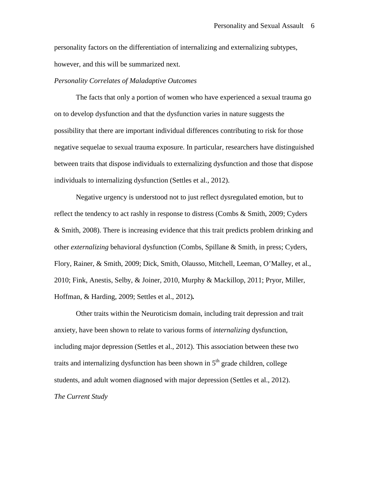personality factors on the differentiation of internalizing and externalizing subtypes, however, and this will be summarized next.

#### *Personality Correlates of Maladaptive Outcomes*

The facts that only a portion of women who have experienced a sexual trauma go on to develop dysfunction and that the dysfunction varies in nature suggests the possibility that there are important individual differences contributing to risk for those negative sequelae to sexual trauma exposure. In particular, researchers have distinguished between traits that dispose individuals to externalizing dysfunction and those that dispose individuals to internalizing dysfunction (Settles et al., 2012).

Negative urgency is understood not to just reflect dysregulated emotion, but to reflect the tendency to act rashly in response to distress (Combs & Smith, 2009; Cyders & Smith, 2008). There is increasing evidence that this trait predicts problem drinking and other *externalizing* behavioral dysfunction (Combs, Spillane & Smith, in press; Cyders, Flory, Rainer, & Smith, 2009; Dick, Smith, Olausso, Mitchell, Leeman, O'Malley, et al., 2010; Fink, Anestis, Selby, & Joiner, 2010, Murphy & Mackillop, 2011; Pryor, Miller, Hoffman, & Harding, 2009; Settles et al., 2012)*.* 

Other traits within the Neuroticism domain, including trait depression and trait anxiety, have been shown to relate to various forms of *internalizing* dysfunction, including major depression (Settles et al., 2012). This association between these two traits and internalizing dysfunction has been shown in  $5<sup>th</sup>$  grade children, college students, and adult women diagnosed with major depression (Settles et al., 2012). *The Current Study*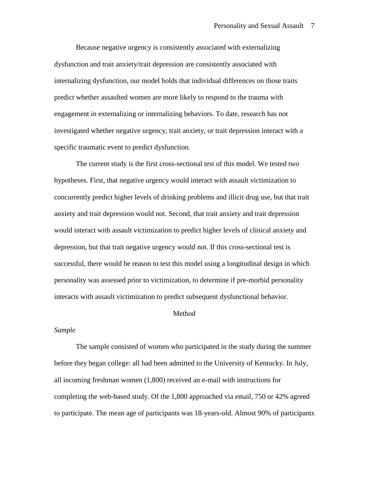Because negative urgency is consistently associated with externalizing dysfunction and trait anxiety/trait depression are consistently associated with internalizing dysfunction, our model holds that individual differences on those traits predict whether assaulted women are more likely to respond to the trauma with engagement in externalizing or internalizing behaviors. To date, research has not investigated whether negative urgency, trait anxiety, or trait depression interact with a specific traumatic event to predict dysfunction.

The current study is the first cross-sectional test of this model. We tested two hypotheses. First, that negative urgency would interact with assault victimization to concurrently predict higher levels of drinking problems and illicit drug use, but that trait anxiety and trait depression would not. Second, that trait anxiety and trait depression would interact with assault victimization to predict higher levels of clinical anxiety and depression, but that trait negative urgency would not. If this cross-sectional test is successful, there would be reason to test this model using a longitudinal design in which personality was assessed prior to victimization, to determine if pre-morbid personality interacts with assault victimization to predict subsequent dysfunctional behavior.

#### Method

#### *Sample*

The sample consisted of women who participated in the study during the summer before they began college: all had been admitted to the University of Kentucky. In July, all incoming freshman women (1,800) received an e-mail with instructions for completing the web-based study. Of the 1,800 approached via email, 750 or 42% agreed to participate. The mean age of participants was 18-years-old. Almost 90% of participants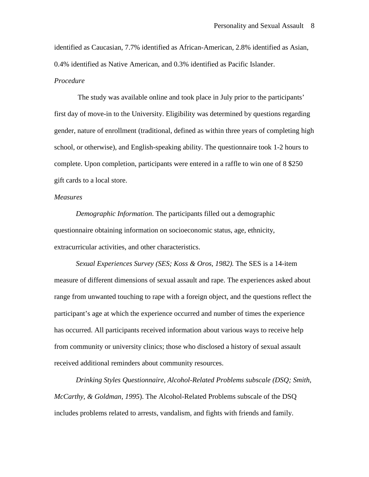identified as Caucasian, 7.7% identified as African-American, 2.8% identified as Asian, 0.4% identified as Native American, and 0.3% identified as Pacific Islander. *Procedure*

The study was available online and took place in July prior to the participants' first day of move-in to the University. Eligibility was determined by questions regarding gender, nature of enrollment (traditional, defined as within three years of completing high school, or otherwise), and English-speaking ability. The questionnaire took 1-2 hours to complete. Upon completion, participants were entered in a raffle to win one of 8 \$250 gift cards to a local store.

#### *Measures*

*Demographic Information*. The participants filled out a demographic questionnaire obtaining information on socioeconomic status, age, ethnicity, extracurricular activities, and other characteristics.

*Sexual Experiences Survey (SES; Koss & Oros, 1982).* The SES is a 14-item measure of different dimensions of sexual assault and rape. The experiences asked about range from unwanted touching to rape with a foreign object, and the questions reflect the participant's age at which the experience occurred and number of times the experience has occurred. All participants received information about various ways to receive help from community or university clinics; those who disclosed a history of sexual assault received additional reminders about community resources.

*Drinking Styles Questionnaire, Alcohol-Related Problems subscale (DSQ; Smith, McCarthy, & Goldman, 1995*). The Alcohol-Related Problems subscale of the DSQ includes problems related to arrests, vandalism, and fights with friends and family.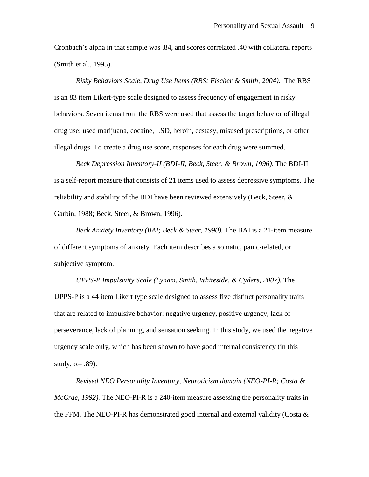Cronbach's alpha in that sample was .84, and scores correlated .40 with collateral reports (Smith et al., 1995).

*Risky Behaviors Scale, Drug Use Items (RBS: Fischer & Smith, 2004).* The RBS is an 83 item Likert-type scale designed to assess frequency of engagement in risky behaviors. Seven items from the RBS were used that assess the target behavior of illegal drug use: used marijuana, cocaine, LSD, heroin, ecstasy, misused prescriptions, or other illegal drugs. To create a drug use score, responses for each drug were summed.

*Beck Depression Inventory-II (BDI-II, Beck, Steer, & Brown, 1996)*. The BDI-II is a self-report measure that consists of 21 items used to assess depressive symptoms. The reliability and stability of the BDI have been reviewed extensively (Beck, Steer, & Garbin, 1988; Beck, Steer, & Brown, 1996).

*Beck Anxiety Inventory (BAI; Beck & Steer, 1990).* The BAI is a 21-item measure of different symptoms of anxiety. Each item describes a somatic, panic-related, or subjective symptom.

*UPPS-P Impulsivity Scale (Lynam, Smith, Whiteside, & Cyders, 2007).* The UPPS-P is a 44 item Likert type scale designed to assess five distinct personality traits that are related to impulsive behavior: negative urgency, positive urgency, lack of perseverance, lack of planning, and sensation seeking. In this study, we used the negative urgency scale only, which has been shown to have good internal consistency (in this study,  $\alpha = .89$ ).

*Revised NEO Personality Inventory, Neuroticism domain (NEO-PI-R; Costa & McCrae, 1992).* The NEO-PI-R is a 240-item measure assessing the personality traits in the FFM. The NEO-PI-R has demonstrated good internal and external validity (Costa  $\&$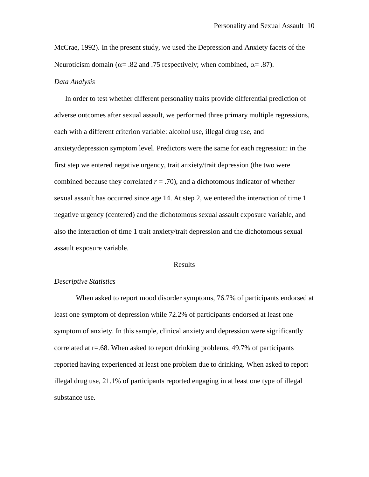McCrae, 1992). In the present study, we used the Depression and Anxiety facets of the Neuroticism domain ( $\alpha$ = .82 and .75 respectively; when combined,  $\alpha$ = .87).

#### *Data Analysis*

In order to test whether different personality traits provide differential prediction of adverse outcomes after sexual assault, we performed three primary multiple regressions, each with a different criterion variable: alcohol use, illegal drug use, and anxiety/depression symptom level. Predictors were the same for each regression: in the first step we entered negative urgency, trait anxiety/trait depression (the two were combined because they correlated  $r = .70$ ), and a dichotomous indicator of whether sexual assault has occurred since age 14. At step 2, we entered the interaction of time 1 negative urgency (centered) and the dichotomous sexual assault exposure variable, and also the interaction of time 1 trait anxiety/trait depression and the dichotomous sexual assault exposure variable.

#### Results

### *Descriptive Statistics*

When asked to report mood disorder symptoms, 76.7% of participants endorsed at least one symptom of depression while 72.2% of participants endorsed at least one symptom of anxiety. In this sample, clinical anxiety and depression were significantly correlated at r=.68. When asked to report drinking problems, 49.7% of participants reported having experienced at least one problem due to drinking. When asked to report illegal drug use, 21.1% of participants reported engaging in at least one type of illegal substance use.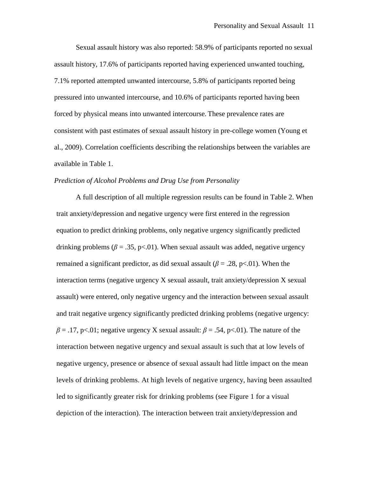Sexual assault history was also reported: 58.9% of participants reported no sexual assault history, 17.6% of participants reported having experienced unwanted touching, 7.1% reported attempted unwanted intercourse, 5.8% of participants reported being pressured into unwanted intercourse, and 10.6% of participants reported having been forced by physical means into unwanted intercourse. These prevalence rates are consistent with past estimates of sexual assault history in pre-college women (Young et al., 2009). Correlation coefficients describing the relationships between the variables are available in Table 1.

## *Prediction of Alcohol Problems and Drug Use from Personality*

A full description of all multiple regression results can be found in Table 2. When trait anxiety/depression and negative urgency were first entered in the regression equation to predict drinking problems, only negative urgency significantly predicted drinking problems ( $\beta = .35$ , p<.01). When sexual assault was added, negative urgency remained a significant predictor, as did sexual assault ( $\beta$  = .28, p<.01). When the interaction terms (negative urgency X sexual assault, trait anxiety/depression X sexual assault) were entered, only negative urgency and the interaction between sexual assault and trait negative urgency significantly predicted drinking problems (negative urgency:  $\beta = .17$ , p<.01; negative urgency X sexual assault:  $\beta = .54$ , p<.01). The nature of the interaction between negative urgency and sexual assault is such that at low levels of negative urgency, presence or absence of sexual assault had little impact on the mean levels of drinking problems. At high levels of negative urgency, having been assaulted led to significantly greater risk for drinking problems (see Figure 1 for a visual depiction of the interaction). The interaction between trait anxiety/depression and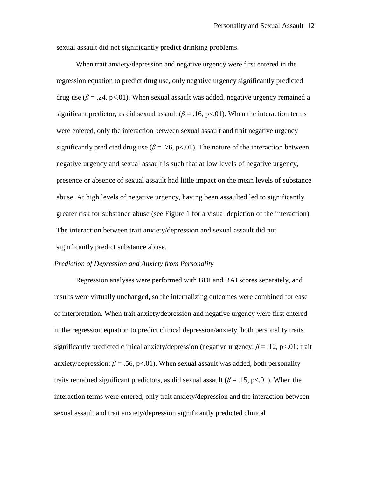sexual assault did not significantly predict drinking problems.

When trait anxiety/depression and negative urgency were first entered in the regression equation to predict drug use, only negative urgency significantly predicted drug use ( $\beta = .24$ , p<.01). When sexual assault was added, negative urgency remained a significant predictor, as did sexual assault ( $\beta$  = .16, p<.01). When the interaction terms were entered, only the interaction between sexual assault and trait negative urgency significantly predicted drug use ( $\beta$  = .76, p<.01). The nature of the interaction between negative urgency and sexual assault is such that at low levels of negative urgency, presence or absence of sexual assault had little impact on the mean levels of substance abuse. At high levels of negative urgency, having been assaulted led to significantly greater risk for substance abuse (see Figure 1 for a visual depiction of the interaction). The interaction between trait anxiety/depression and sexual assault did not significantly predict substance abuse.

#### *Prediction of Depression and Anxiety from Personality*

Regression analyses were performed with BDI and BAI scores separately, and results were virtually unchanged, so the internalizing outcomes were combined for ease of interpretation. When trait anxiety/depression and negative urgency were first entered in the regression equation to predict clinical depression/anxiety, both personality traits significantly predicted clinical anxiety/depression (negative urgency:  $\beta = .12$ , p<.01; trait anxiety/depression:  $\beta = .56$ , p<.01). When sexual assault was added, both personality traits remained significant predictors, as did sexual assault ( $\beta$  = .15, p<.01). When the interaction terms were entered, only trait anxiety/depression and the interaction between sexual assault and trait anxiety/depression significantly predicted clinical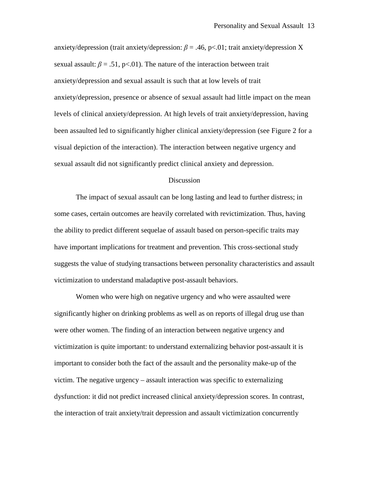anxiety/depression (trait anxiety/depression:  $\beta = .46$ , p<.01; trait anxiety/depression X sexual assault:  $\beta = .51$ , p<.01). The nature of the interaction between trait anxiety/depression and sexual assault is such that at low levels of trait anxiety/depression, presence or absence of sexual assault had little impact on the mean levels of clinical anxiety/depression. At high levels of trait anxiety/depression, having been assaulted led to significantly higher clinical anxiety/depression (see Figure 2 for a visual depiction of the interaction). The interaction between negative urgency and sexual assault did not significantly predict clinical anxiety and depression.

#### Discussion

The impact of sexual assault can be long lasting and lead to further distress; in some cases, certain outcomes are heavily correlated with revictimization. Thus, having the ability to predict different sequelae of assault based on person-specific traits may have important implications for treatment and prevention. This cross-sectional study suggests the value of studying transactions between personality characteristics and assault victimization to understand maladaptive post-assault behaviors.

Women who were high on negative urgency and who were assaulted were significantly higher on drinking problems as well as on reports of illegal drug use than were other women. The finding of an interaction between negative urgency and victimization is quite important: to understand externalizing behavior post-assault it is important to consider both the fact of the assault and the personality make-up of the victim. The negative urgency – assault interaction was specific to externalizing dysfunction: it did not predict increased clinical anxiety/depression scores. In contrast, the interaction of trait anxiety/trait depression and assault victimization concurrently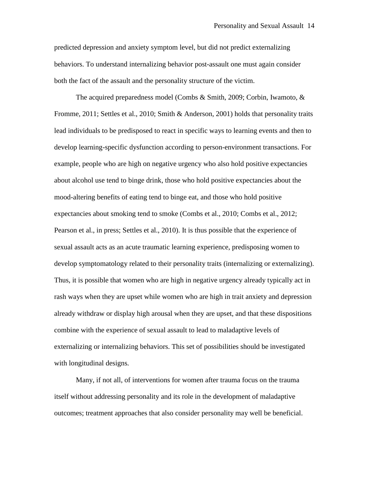predicted depression and anxiety symptom level, but did not predict externalizing behaviors. To understand internalizing behavior post-assault one must again consider both the fact of the assault and the personality structure of the victim.

The acquired preparedness model (Combs & Smith, 2009; Corbin, Iwamoto, & Fromme, 2011; Settles et al., 2010; Smith & Anderson, 2001) holds that personality traits lead individuals to be predisposed to react in specific ways to learning events and then to develop learning-specific dysfunction according to person-environment transactions. For example, people who are high on negative urgency who also hold positive expectancies about alcohol use tend to binge drink, those who hold positive expectancies about the mood-altering benefits of eating tend to binge eat, and those who hold positive expectancies about smoking tend to smoke (Combs et al., 2010; Combs et al., 2012; Pearson et al., in press; Settles et al., 2010). It is thus possible that the experience of sexual assault acts as an acute traumatic learning experience, predisposing women to develop symptomatology related to their personality traits (internalizing or externalizing). Thus, it is possible that women who are high in negative urgency already typically act in rash ways when they are upset while women who are high in trait anxiety and depression already withdraw or display high arousal when they are upset, and that these dispositions combine with the experience of sexual assault to lead to maladaptive levels of externalizing or internalizing behaviors. This set of possibilities should be investigated with longitudinal designs.

Many, if not all, of interventions for women after trauma focus on the trauma itself without addressing personality and its role in the development of maladaptive outcomes; treatment approaches that also consider personality may well be beneficial.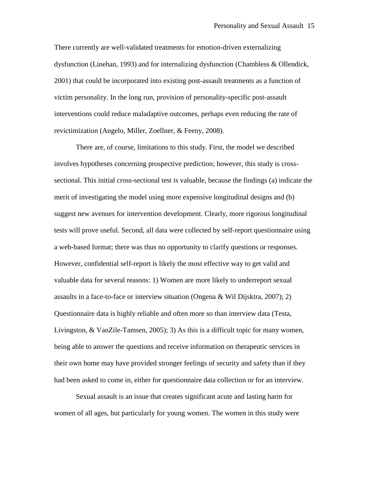There currently are well-validated treatments for emotion-driven externalizing dysfunction (Linehan, 1993) and for internalizing dysfunction (Chambless & Ollendick, 2001) that could be incorporated into existing post-assault treatments as a function of victim personality. In the long run, provision of personality-specific post-assault interventions could reduce maladaptive outcomes, perhaps even reducing the rate of revictimization (Angelo, Miller, Zoellner, & Feeny, 2008).

There are, of course, limitations to this study. First, the model we described involves hypotheses concerning prospective prediction; however, this study is crosssectional. This initial cross-sectional test is valuable, because the findings (a) indicate the merit of investigating the model using more expensive longitudinal designs and (b) suggest new avenues for intervention development. Clearly, more rigorous longitudinal tests will prove useful. Second, all data were collected by self-report questionnaire using a web-based format; there was thus no opportunity to clarify questions or responses. However, confidential self-report is likely the most effective way to get valid and valuable data for several reasons: 1) Women are more likely to underreport sexual assaults in a face-to-face or interview situation (Ongena & Wil Dijsktra, 2007); 2) Questionnaire data is highly reliable and often more so than interview data (Testa, Livingston, & VanZile-Tamsen, 2005); 3) As this is a difficult topic for many women, being able to answer the questions and receive information on therapeutic services in their own home may have provided stronger feelings of security and safety than if they had been asked to come in, either for questionnaire data collection or for an interview.

Sexual assault is an issue that creates significant acute and lasting harm for women of all ages, but particularly for young women. The women in this study were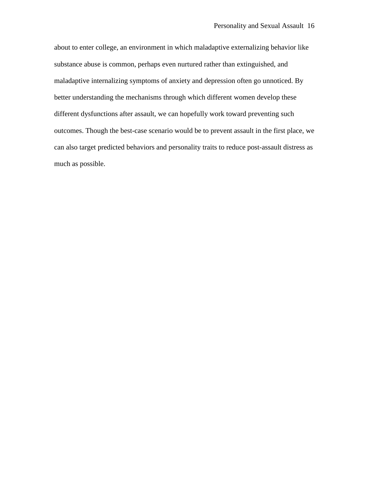about to enter college, an environment in which maladaptive externalizing behavior like substance abuse is common, perhaps even nurtured rather than extinguished, and maladaptive internalizing symptoms of anxiety and depression often go unnoticed. By better understanding the mechanisms through which different women develop these different dysfunctions after assault, we can hopefully work toward preventing such outcomes. Though the best-case scenario would be to prevent assault in the first place, we can also target predicted behaviors and personality traits to reduce post-assault distress as much as possible.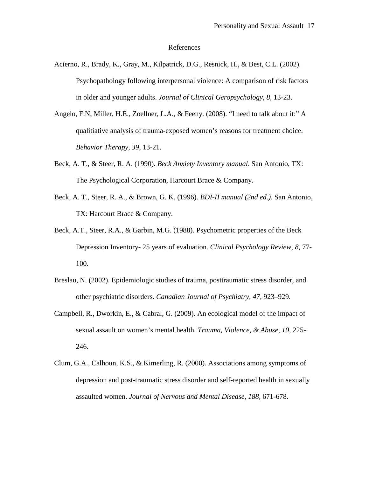#### References

- Acierno, R., Brady, K., Gray, M., Kilpatrick, D.G., Resnick, H., & Best, C.L. (2002). Psychopathology following interpersonal violence: A comparison of risk factors in older and younger adults. *Journal of Clinical Geropsychology, 8,* 13-23.
- Angelo, F.N, Miller, H.E., Zoellner, L.A., & Feeny. (2008). "I need to talk about it:" A qualitiative analysis of trauma-exposed women's reasons for treatment choice. *Behavior Therapy, 39,* 13-21.
- Beck, A. T., & Steer, R. A. (1990). *Beck Anxiety Inventory manual*. San Antonio, TX: The Psychological Corporation, Harcourt Brace & Company.
- Beck, A. T., Steer, R. A., & Brown, G. K. (1996). *BDI-II manual (2nd ed.)*. San Antonio, TX: Harcourt Brace & Company.
- Beck, A.T., Steer, R.A., & Garbin, M.G. (1988). Psychometric properties of the Beck Depression Inventory- 25 years of evaluation. *Clinical Psychology Review, 8,* 77- 100.
- Breslau, N. (2002). Epidemiologic studies of trauma, posttraumatic stress disorder, and other psychiatric disorders. *Canadian Journal of Psychiatry, 47,* 923–929.
- Campbell, R., Dworkin, E., & Cabral, G. (2009). An ecological model of the impact of sexual assault on women's mental health. *Trauma, Violence, & Abuse, 10,* 225- 246.
- Clum, G.A., Calhoun, K.S., & Kimerling, R. (2000). Associations among symptoms of depression and post-traumatic stress disorder and self-reported health in sexually assaulted women. *Journal of Nervous and Mental Disease, 188,* 671-678.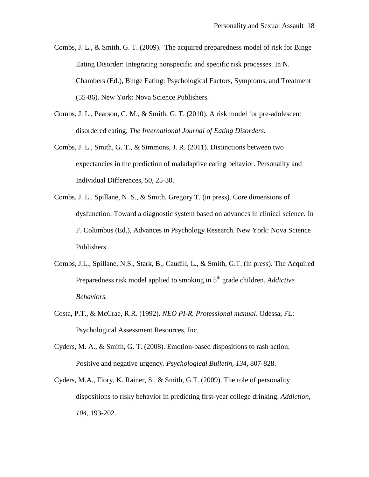Combs, J. L., & Smith, G. T. (2009). The acquired preparedness model of risk for Binge Eating Disorder: Integrating nonspecific and specific risk processes. In N. Chambers (Ed.), Binge Eating: Psychological Factors, Symptoms, and Treatment (55-86). New York: Nova Science Publishers.

- Combs, J. L., Pearson, C. M., & Smith, G. T. (2010). A risk model for pre-adolescent disordered eating. *The International Journal of Eating Disorders.*
- Combs, J. L., Smith, G. T., & Simmons, J. R. (2011). Distinctions between two expectancies in the prediction of maladaptive eating behavior. Personality and Individual Differences, 50, 25-30.
- Combs, J. L., Spillane, N. S., & Smith, Gregory T. (in press). Core dimensions of dysfunction: Toward a diagnostic system based on advances in clinical science. In F. Columbus (Ed.), Advances in Psychology Research. New York: Nova Science Publishers.
- Combs, J.L., Spillane, N.S., Stark, B., Caudill, L., & Smith, G.T. (in press). The Acquired Preparedness risk model applied to smoking in 5<sup>th</sup> grade children. *Addictive Behaviors.*
- Costa, P.T., & McCrae, R.R. (1992). *NEO PI-R. Professional manual*. Odessa, FL: Psychological Assessment Resources, Inc.
- Cyders, M. A., & Smith, G. T. (2008). Emotion-based dispositions to rash action: Positive and negative urgency. *Psychological Bulletin, 134,* 807-828.
- Cyders, M.A., Flory, K. Rainer, S., & Smith, G.T. (2009). The role of personality dispositions to risky behavior in predicting first-year college drinking. *Addiction, 104,* 193-202.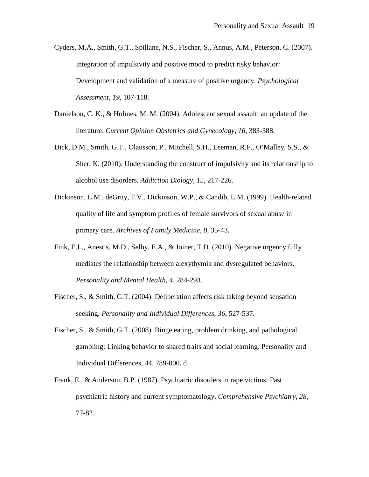Cyders, M.A., Smith, G.T., Spillane, N.S., Fischer, S., Annus, A.M., Peterson, C. (2007). Integration of impulsivity and positive mood to predict risky behavior: Development and validation of a measure of positive urgency. *Psychological Assessment, 19,* 107-118.

- Danielson, C. K., & Holmes, M. M. (2004). Adolescent sexual assault: an update of the literature. *Current Opinion Obstetrics and Gynecology*, *16*, 383-388.
- Dick, D.M., Smith, G.T., Olausson, P., Mitchell, S.H., Leeman, R.F., O'Malley, S.S., & Sher, K. (2010). Understanding the construct of impulsivity and its relationship to alcohol use disorders. *Addiction Biology, 15,* 217-226.
- Dickinson, L.M., deGruy, F.V., Dickinson, W.P., & Candib, L.M. (1999). Health-related quality of life and symptom profiles of female survivors of sexual abuse in primary care. *Archives of Family Medicine, 8,* 35-43.
- Fink, E.L., Anestis, M.D., Selby, E.A., & Joiner, T.D. (2010). Negative urgency fully mediates the relationship between alexythymia and dysregulated behaviors. *Personality and Mental Health, 4,* 284-293.
- Fischer, S., & Smith, G.T. (2004). Deliberation affects risk taking beyond sensation seeking. *Personality and Individual Differences*, *36*, 527-537.
- Fischer, S., & Smith, G.T. (2008). Binge eating, problem drinking, and pathological gambling: Linking behavior to shared traits and social learning. Personality and Individual Differences, 44, 789-800. d
- Frank, E., & Anderson, B.P. (1987). Psychiatric disorders in rape victims: Past psychiatric history and current symptomatology. *Comprehensive Psychiatry, 28,*  77-82.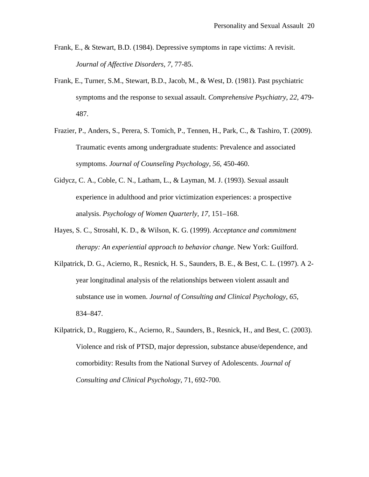- Frank, E., & Stewart, B.D. (1984). Depressive symptoms in rape victims: A revisit. *Journal of Affective Disorders, 7,* 77-85.
- Frank, E., Turner, S.M., Stewart, B.D., Jacob, M., & West, D. (1981). Past psychiatric symptoms and the response to sexual assault. *Comprehensive Psychiatry, 22,* 479- 487.
- Frazier, P., Anders, S., Perera, S. Tomich, P., Tennen, H., Park, C., & Tashiro, T. (2009). Traumatic events among undergraduate students: Prevalence and associated symptoms. *Journal of Counseling Psychology, 56,* 450-460.
- Gidycz, C. A., Coble, C. N., Latham, L., & Layman, M. J. (1993). Sexual assault experience in adulthood and prior victimization experiences: a prospective analysis. *Psychology of Women Quarterly, 17,* 151–168.
- Hayes, S. C., Strosahl, K. D., & Wilson, K. G. (1999). *Acceptance and commitment therapy: An experiential approach to behavior change*. New York: Guilford.
- Kilpatrick, D. G., Acierno, R., Resnick, H. S., Saunders, B. E., & Best, C. L. (1997). A 2 year longitudinal analysis of the relationships between violent assault and substance use in women. *Journal of Consulting and Clinical Psychology, 65*, 834–847.
- Kilpatrick, D., Ruggiero, K., Acierno, R., Saunders, B., Resnick, H., and Best, C. (2003). Violence and risk of PTSD, major depression, substance abuse/dependence, and comorbidity: Results from the National Survey of Adolescents. *Journal of Consulting and Clinical Psychology*, 71, 692-700.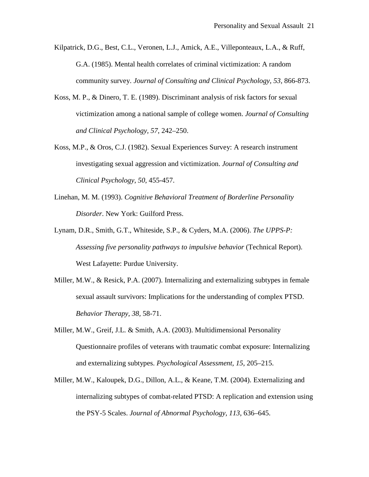- Kilpatrick, D.G., Best, C.L., Veronen, L.J., Amick, A.E., Villeponteaux, L.A., & Ruff, G.A. (1985). Mental health correlates of criminal victimization: A random community survey. *Journal of Consulting and Clinical Psychology, 53,* 866-873.
- Koss, M. P., & Dinero, T. E. (1989). Discriminant analysis of risk factors for sexual victimization among a national sample of college women. *Journal of Consulting and Clinical Psychology, 57*, 242–250.
- Koss, M.P., & Oros, C.J. (1982). Sexual Experiences Survey: A research instrument investigating sexual aggression and victimization. *Journal of Consulting and Clinical Psychology*, *50*, 455-457.
- Linehan, M. M. (1993). *Cognitive Behavioral Treatment of Borderline Personality Disorder*. New York: Guilford Press.
- Lynam, D.R., Smith, G.T., Whiteside, S.P., & Cyders, M.A. (2006). *The UPPS-P: Assessing five personality pathways to impulsive behavior* (Technical Report). West Lafayette: Purdue University.
- Miller, M.W., & Resick, P.A. (2007). Internalizing and externalizing subtypes in female sexual assault survivors: Implications for the understanding of complex PTSD. *Behavior Therapy, 38,* 58-71.
- Miller, M.W., Greif, J.L. & Smith, A.A. (2003). Multidimensional Personality Questionnaire profiles of veterans with traumatic combat exposure: Internalizing and externalizing subtypes. *Psychological Assessment, 15*, 205–215.
- Miller, M.W., Kaloupek, D.G., Dillon, A.L., & Keane, T.M. (2004). Externalizing and internalizing subtypes of combat-related PTSD: A replication and extension using the PSY-5 Scales. *Journal of Abnormal Psychology, 113*, 636–645.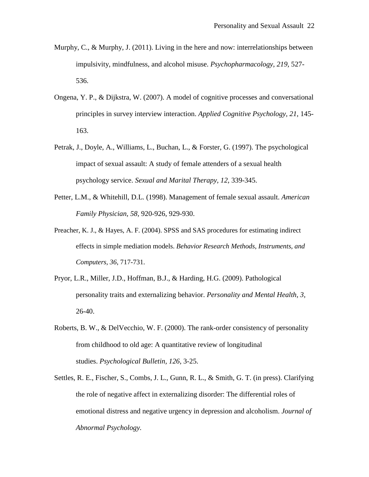- Murphy, C., & Murphy, J. (2011). Living in the here and now: interrelationships between impulsivity, mindfulness, and alcohol misuse. *Psychopharmacology, 219,* 527- 536.
- Ongena, Y. P., & Dijkstra, W. (2007). A model of cognitive processes and conversational principles in survey interview interaction. *Applied Cognitive Psychology, 21*, 145- 163.
- Petrak, J., Doyle, A., Williams, L., Buchan, L., & Forster, G. (1997). The psychological impact of sexual assault: A study of female attenders of a sexual health psychology service. *Sexual and Marital Therapy, 12,* 339-345.
- Petter, L.M., & Whitehill, D.L. (1998). Management of female sexual assault. *American Family Physician, 58,* 920-926, 929-930.
- Preacher, K. J., & Hayes, A. F. (2004). SPSS and SAS procedures for estimating indirect effects in simple mediation models. *Behavior Research Methods, Instruments, and Computers, 36*, 717-731.
- Pryor, L.R., Miller, J.D., Hoffman, B.J., & Harding, H.G. (2009). Pathological personality traits and externalizing behavior. *Personality and Mental Health, 3,*  26-40.
- Roberts, B. W., & DelVecchio, W. F. (2000). The rank-order consistency of personality from childhood to old age: A quantitative review of longitudinal studies. *Psychological Bulletin, 126,* 3-25.
- Settles, R. E., Fischer, S., Combs, J. L., Gunn, R. L., & Smith, G. T. (in press). Clarifying the role of negative affect in externalizing disorder: The differential roles of emotional distress and negative urgency in depression and alcoholism. *Journal of Abnormal Psychology.*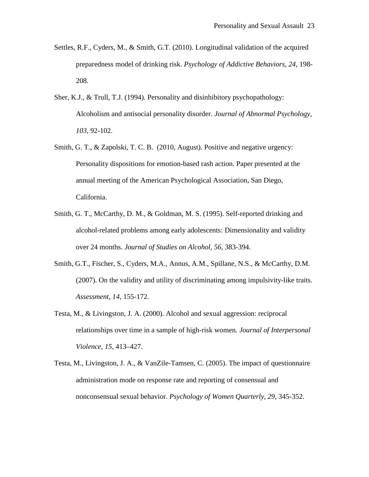- Settles, R.F., Cyders, M., & Smith, G.T. (2010). Longitudinal validation of the acquired preparedness model of drinking risk. *Psychology of Addictive Behaviors, 24,* 198- 208.
- Sher, K.J., & Trull, T.J. (1994). Personality and disinhibitory psychopathology: Alcoholism and antisocial personality disorder. *Journal of Abnormal Psychology, 103,* 92-102.
- Smith, G. T., & Zapolski, T. C. B. (2010, August). Positive and negative urgency: Personality dispositions for emotion-based rash action. Paper presented at the annual meeting of the American Psychological Association, San Diego, California.
- Smith, G. T., McCarthy, D. M., & Goldman, M. S. (1995). Self-reported drinking and alcohol-related problems among early adolescents: Dimensionality and validity over 24 months. *Journal of Studies on Alcohol*, *56*, 383-394.
- Smith, G.T., Fischer, S., Cyders, M.A., Annus, A.M., Spillane, N.S., & McCarthy, D.M. (2007). On the validity and utility of discriminating among impulsivity-like traits. *Assessment, 14,* 155-172.
- Testa, M., & Livingston, J. A. (2000). Alcohol and sexual aggression: reciprocal relationships over time in a sample of high-risk women. *Journal of Interpersonal Violence, 15,* 413–427.
- Testa, M., Livingston, J. A., & VanZile-Tamsen, C. (2005). The impact of questionnaire administration mode on response rate and reporting of consensual and nonconsensual sexual behavior. *Psychology of Women Quarterly, 29,* 345-352.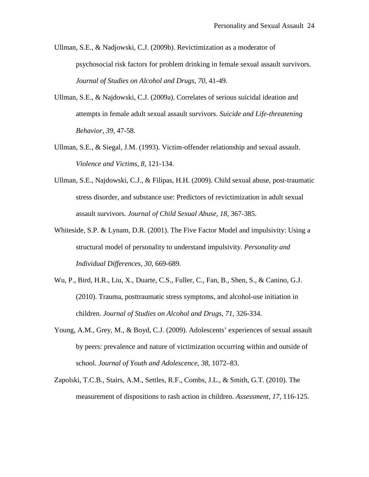- Ullman, S.E., & Nadjowski, C.J. (2009b). Revictimization as a moderator of psychosocial risk factors for problem drinking in female sexual assault survivors. *Journal of Studies on Alcohol and Drugs, 70,* 41-49.
- Ullman, S.E., & Najdowski, C.J. (2009a). Correlates of serious suicidal ideation and attempts in female adult sexual assault survivors. *Suicide and Life-threatening Behavior, 39,* 47-58.
- Ullman, S.E., & Siegal, J.M. (1993). Victim-offender relationship and sexual assault. *Violence and Victims, 8,* 121-134.
- Ullman, S.E., Najdowski, C.J., & Filipas, H.H. (2009). Child sexual abuse, post-traumatic stress disorder, and substance use: Predictors of revictimization in adult sexual assault survivors. *Journal of Child Sexual Abuse, 18,* 367-385.
- Whiteside, S.P. & Lynam, D.R. (2001). The Five Factor Model and impulsivity: Using a structural model of personality to understand impulsivity. *Personality and Individual Differences, 30*, 669-689.
- Wu, P., Bird, H.R., Liu, X., Duarte, C.S., Fuller, C., Fan, B., Shen, S., & Canino, G.J. (2010). Trauma, posttraumatic stress symptoms, and alcohol-use initiation in children. *Journal of Studies on Alcohol and Drugs, 71,* 326-334.
- Young, A.M., Grey, M., & Boyd, C.J. (2009). Adolescents' experiences of sexual assault by peers: prevalence and nature of victimization occurring within and outside of school. *Journal of Youth and Adolescence, 38,* 1072–83.
- Zapolski, T.C.B., Stairs, A.M., Settles, R.F., Combs, J.L., & Smith, G.T. (2010). The measurement of dispositions to rash action in children. *Assessment, 17,* 116-125.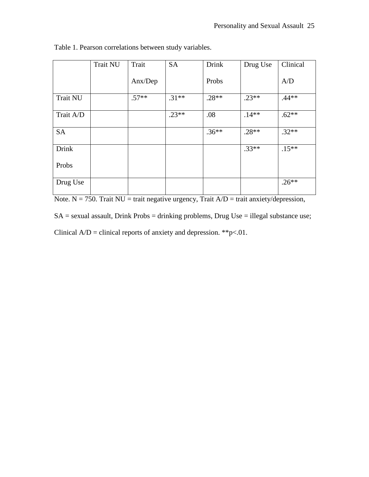|                 | <b>Trait NU</b> | Trait            | <b>SA</b> | <b>Drink</b> | Drug Use | Clinical |
|-----------------|-----------------|------------------|-----------|--------------|----------|----------|
|                 |                 | $\text{Anx/Dep}$ |           | Probs        |          | A/D      |
| <b>Trait NU</b> |                 | $.57**$          | $.31**$   | $.28**$      | $.23**$  | $.44**$  |
| Trait A/D       |                 |                  | $.23**$   | .08          | $.14**$  | $.62**$  |
| <b>SA</b>       |                 |                  |           | $.36***$     | $.28**$  | $.32**$  |
| <b>Drink</b>    |                 |                  |           |              | $.33**$  | $.15**$  |
| Probs           |                 |                  |           |              |          |          |
| Drug Use        |                 |                  |           |              |          | $.26**$  |

Table 1. Pearson correlations between study variables.

 $\frac{1}{\text{Note. N} = 750. \text{ trait NU} = \text{trait negative ergency, trait A/D} = \text{ trait anxiety/depression}}$ 

SA = sexual assault, Drink Probs = drinking problems, Drug Use = illegal substance use;

Clinical  $A/D =$  clinical reports of anxiety and depression. \*\*p<.01.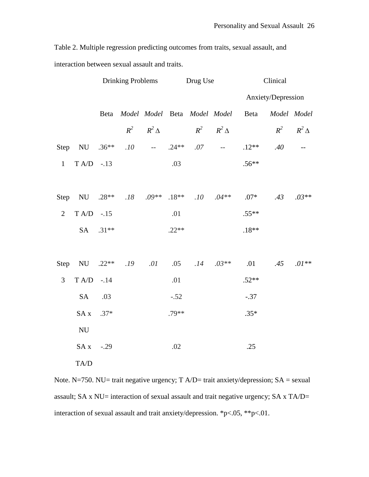Table 2. Multiple regression predicting outcomes from traits, sexual assault, and

interaction between sexual assault and traits.

|                |                           | <b>Drinking Problems</b> |     | Drug Use                                                  |         | Clinical |                              |                      |     |                      |
|----------------|---------------------------|--------------------------|-----|-----------------------------------------------------------|---------|----------|------------------------------|----------------------|-----|----------------------|
|                |                           |                          |     |                                                           |         |          |                              | Anxiety/Depression   |     |                      |
|                |                           | Beta                     |     |                                                           |         |          | Model Model Beta Model Model | Beta                 |     | Model Model          |
|                |                           |                          |     | $R^2$ $R^2$ $\Delta$                                      |         |          | $R^2$ $R^2$ $\Delta$         |                      |     | $R^2$ $R^2$ $\Delta$ |
|                | Step NU $.36**$           |                          | .10 | $\mathcal{L}_{\text{max}}$ and $\mathcal{L}_{\text{max}}$ | $.24**$ | .07      | $\sim$ $\sim$                | $.12**$              | .40 | $-$                  |
| $\mathbf{1}$   | $T A/D$ -.13              |                          |     |                                                           | .03     |          |                              | $.56**$              |     |                      |
|                |                           |                          |     |                                                           |         |          |                              |                      |     |                      |
|                | Step NU .28**             |                          |     | $.18$ $.09**$ $.18**$                                     |         |          |                              | $.10$ $.04**$ $.07*$ | .43 | $.03**$              |
| $\overline{2}$ | $T A/D$ -.15              |                          |     |                                                           | .01     |          |                              | $.55**$              |     |                      |
|                |                           | SA .31**                 |     |                                                           | $.22**$ |          |                              | $.18**$              |     |                      |
|                |                           |                          |     |                                                           |         |          |                              |                      |     |                      |
|                | Step NU $.22**$           |                          | .19 | .01                                                       | .05     | .14      | $.03**$                      | .01                  |     | $.45 \t .01**$       |
| 3              | $T A/D$ -.14              |                          |     |                                                           | .01     |          |                              | $.52**$              |     |                      |
|                | <b>SA</b>                 | .03                      |     |                                                           | $-.52$  |          |                              | $-.37$               |     |                      |
|                | SA x                      | $.37*$                   |     |                                                           | $.79**$ |          |                              | $.35*$               |     |                      |
|                | $\mathrm{NU}$             |                          |     |                                                           |         |          |                              |                      |     |                      |
|                | SA x                      | $-.29$                   |     |                                                           | .02     |          |                              | .25                  |     |                      |
|                | $\mathrm{T A}/\mathrm{D}$ |                          |     |                                                           |         |          |                              |                      |     |                      |

Note. N=750. NU= trait negative urgency;  $T A/D$ = trait anxiety/depression;  $SA$  = sexual assault; SA x NU= interaction of sexual assault and trait negative urgency; SA x TA/D= interaction of sexual assault and trait anxiety/depression. \*p<.05, \*\*p<.01.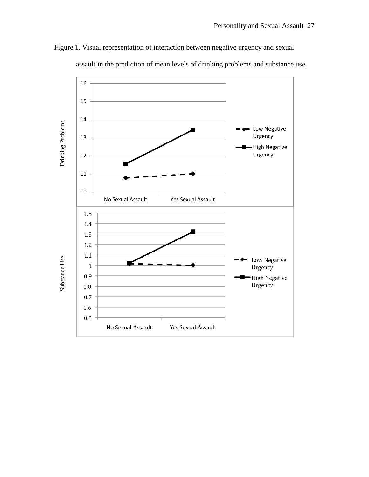

Figure 1. Visual representation of interaction between negative urgency and sexual

assault in the prediction of mean levels of drinking problems and substance use.